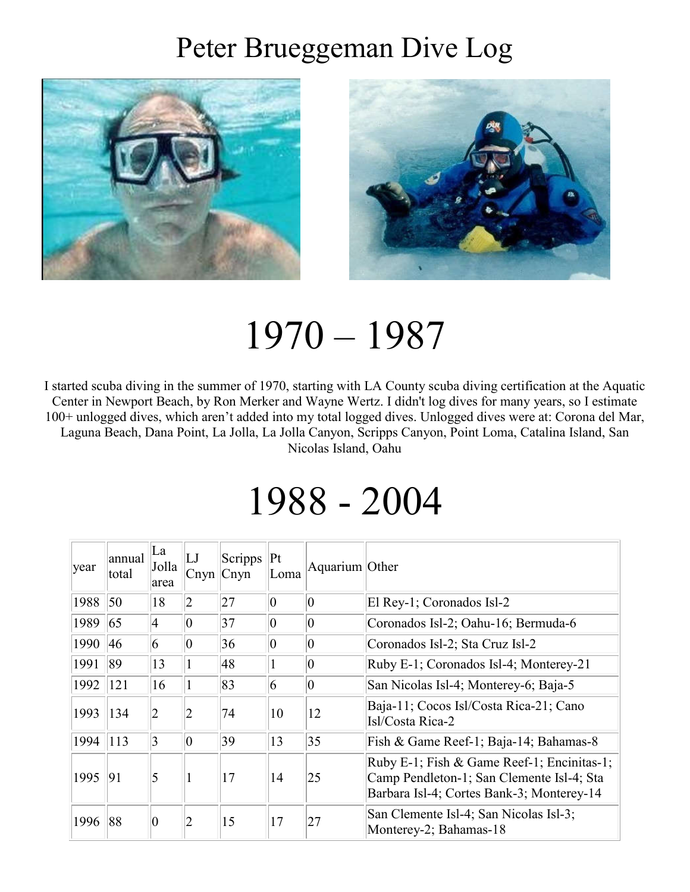### Peter Brueggeman Dive Log





# 1970 – 1987

I started scuba diving in the summer of 1970, starting with LA County scuba diving certification at the Aquatic Center in Newport Beach, by Ron Merker and Wayne Wertz. I didn't log dives for many years, so I estimate 100+ unlogged dives, which aren't added into my total logged dives. Unlogged dives were at: Corona del Mar, Laguna Beach, Dana Point, La Jolla, La Jolla Canyon, Scripps Canyon, Point Loma, Catalina Island, San Nicolas Island, Oahu

## 1988 - 2004

| year | annual<br>total | La<br>Jolla<br>area | LJ<br> C <sub>nyn</sub> | Scripps<br>C <sub>nyn</sub> | Pt <br>Loma    | Aquarium Other |                                                                                                                                      |
|------|-----------------|---------------------|-------------------------|-----------------------------|----------------|----------------|--------------------------------------------------------------------------------------------------------------------------------------|
| 1988 | 50              | 18                  | $\overline{2}$          | 27                          | 0              | $\overline{0}$ | El Rey-1; Coronados Isl-2                                                                                                            |
| 1989 | 65              | 4                   | $\vert 0 \vert$         | 37                          | $\overline{0}$ | $\overline{0}$ | Coronados Isl-2; Oahu-16; Bermuda-6                                                                                                  |
| 1990 | 46              | 6                   | $ 0\rangle$             | 36                          | $ 0\rangle$    | $ 0\rangle$    | Coronados Isl-2; Sta Cruz Isl-2                                                                                                      |
| 1991 | 89              | 13                  |                         | 48                          |                | $ 0\rangle$    | Ruby E-1; Coronados Isl-4; Monterey-21                                                                                               |
| 1992 | 121             | 16                  |                         | 83                          | 6              | $ 0\rangle$    | San Nicolas Isl-4; Monterey-6; Baja-5                                                                                                |
| 1993 | 134             | 2                   | 2                       | 74                          | 10             | 12             | Baja-11; Cocos Isl/Costa Rica-21; Cano<br>Isl/Costa Rica-2                                                                           |
| 1994 | 113             | 3                   | $\vert 0 \vert$         | 39                          | 13             | 35             | Fish & Game Reef-1; Baja-14; Bahamas-8                                                                                               |
| 1995 | 91              | 5                   |                         | 17                          | 14             | 25             | Ruby E-1; Fish & Game Reef-1; Encinitas-1;<br>Camp Pendleton-1; San Clemente Isl-4; Sta<br>Barbara Isl-4; Cortes Bank-3; Monterey-14 |
| 1996 | 88              | $\overline{0}$      | 2                       | 15                          | 17             | 27             | San Clemente Isl-4; San Nicolas Isl-3;<br>Monterey-2; Bahamas-18                                                                     |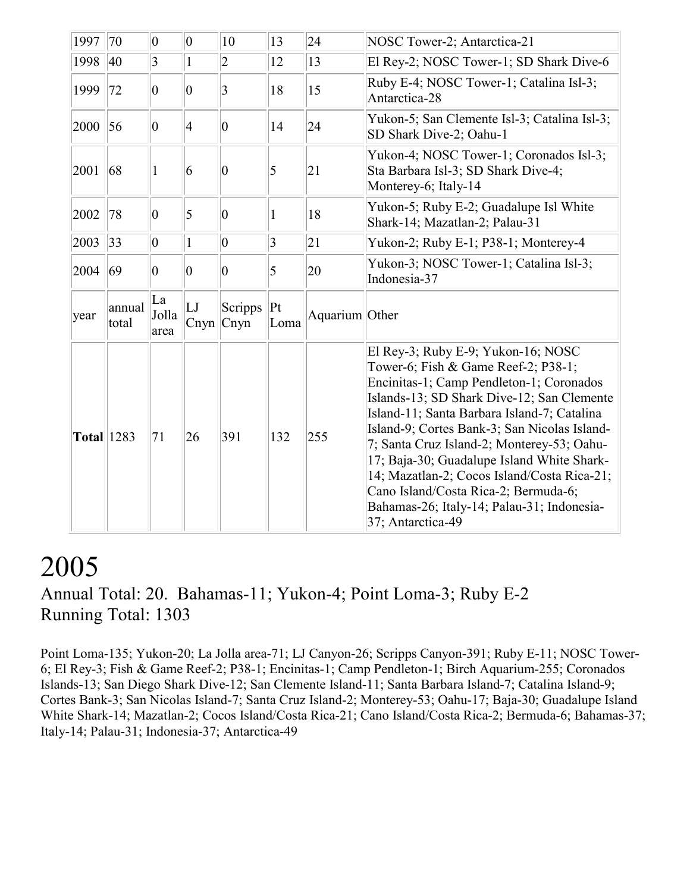| 1997              | 70              | $ 0\rangle$         | $ 0\rangle$     | 10                          | 13              | 24             | NOSC Tower-2; Antarctica-21                                                                                                                                                                                                                                                                                                                                                                                                                                                                                              |
|-------------------|-----------------|---------------------|-----------------|-----------------------------|-----------------|----------------|--------------------------------------------------------------------------------------------------------------------------------------------------------------------------------------------------------------------------------------------------------------------------------------------------------------------------------------------------------------------------------------------------------------------------------------------------------------------------------------------------------------------------|
| 1998              | 40              | $\overline{3}$      | $\mathbf{1}$    | $ 2\>$                      | 12              | 13             | El Rey-2; NOSC Tower-1; SD Shark Dive-6                                                                                                                                                                                                                                                                                                                                                                                                                                                                                  |
| 1999              | 72              | $ 0\rangle$         | $ 0\rangle$     | 3                           | 18              | 15             | Ruby E-4; NOSC Tower-1; Catalina Isl-3;<br>Antarctica-28                                                                                                                                                                                                                                                                                                                                                                                                                                                                 |
| 2000              | 56              | $ 0\rangle$         | $\vert 4 \vert$ | $ 0\rangle$                 | 14              | 24             | Yukon-5; San Clemente Isl-3; Catalina Isl-3;<br>SD Shark Dive-2; Oahu-1                                                                                                                                                                                                                                                                                                                                                                                                                                                  |
| 2001              | 68              | 1                   | 6               | $ 0\rangle$                 | 5               | 21             | Yukon-4; NOSC Tower-1; Coronados Isl-3;<br>Sta Barbara Isl-3; SD Shark Dive-4;<br>Monterey-6; Italy-14                                                                                                                                                                                                                                                                                                                                                                                                                   |
| 2002              | 78              | $ 0\rangle$         | $\overline{5}$  | $ 0\rangle$                 |                 | 18             | Yukon-5; Ruby E-2; Guadalupe Isl White<br>Shark-14; Mazatlan-2; Palau-31                                                                                                                                                                                                                                                                                                                                                                                                                                                 |
| 2003              | 33              | $ 0\rangle$         | $\mathbf{1}$    | $ 0\rangle$                 | $ 3\rangle$     | 21             | Yukon-2; Ruby E-1; P38-1; Monterey-4                                                                                                                                                                                                                                                                                                                                                                                                                                                                                     |
| 2004              | 69              | $ 0\rangle$         | $ 0\rangle$     | $ 0\rangle$                 | 5               | 20             | Yukon-3; NOSC Tower-1; Catalina Isl-3;<br>Indonesia-37                                                                                                                                                                                                                                                                                                                                                                                                                                                                   |
| year              | annual<br>total | La<br>Jolla<br>area | LI<br>Cnyn      | Scripps<br>C <sub>nyn</sub> | $ P_t $<br>Loma | Aquarium Other |                                                                                                                                                                                                                                                                                                                                                                                                                                                                                                                          |
| <b>Total</b> 1283 |                 | 71                  | 26              | 391                         | 132             | 255            | El Rey-3; Ruby E-9; Yukon-16; NOSC<br>Tower-6; Fish & Game Reef-2; P38-1;<br>Encinitas-1; Camp Pendleton-1; Coronados<br>Islands-13; SD Shark Dive-12; San Clemente<br>Island-11; Santa Barbara Island-7; Catalina<br>Island-9; Cortes Bank-3; San Nicolas Island-<br>7; Santa Cruz Island-2; Monterey-53; Oahu-<br>17; Baja-30; Guadalupe Island White Shark-<br>14; Mazatlan-2; Cocos Island/Costa Rica-21;<br>Cano Island/Costa Rica-2; Bermuda-6;<br>Bahamas-26; Italy-14; Palau-31; Indonesia-<br>37; Antarctica-49 |

#### 2005 Annual Total: 20. Bahamas-11; Yukon-4; Point Loma-3; Ruby E-2 Running Total: 1303

Point Loma-135; Yukon-20; La Jolla area-71; LJ Canyon-26; Scripps Canyon-391; Ruby E-11; NOSC Tower-6; El Rey-3; Fish & Game Reef-2; P38-1; Encinitas-1; Camp Pendleton-1; Birch Aquarium-255; Coronados Islands-13; San Diego Shark Dive-12; San Clemente Island-11; Santa Barbara Island-7; Catalina Island-9; Cortes Bank-3; San Nicolas Island-7; Santa Cruz Island-2; Monterey-53; Oahu-17; Baja-30; Guadalupe Island White Shark-14; Mazatlan-2; Cocos Island/Costa Rica-21; Cano Island/Costa Rica-2; Bermuda-6; Bahamas-37; Italy-14; Palau-31; Indonesia-37; Antarctica-49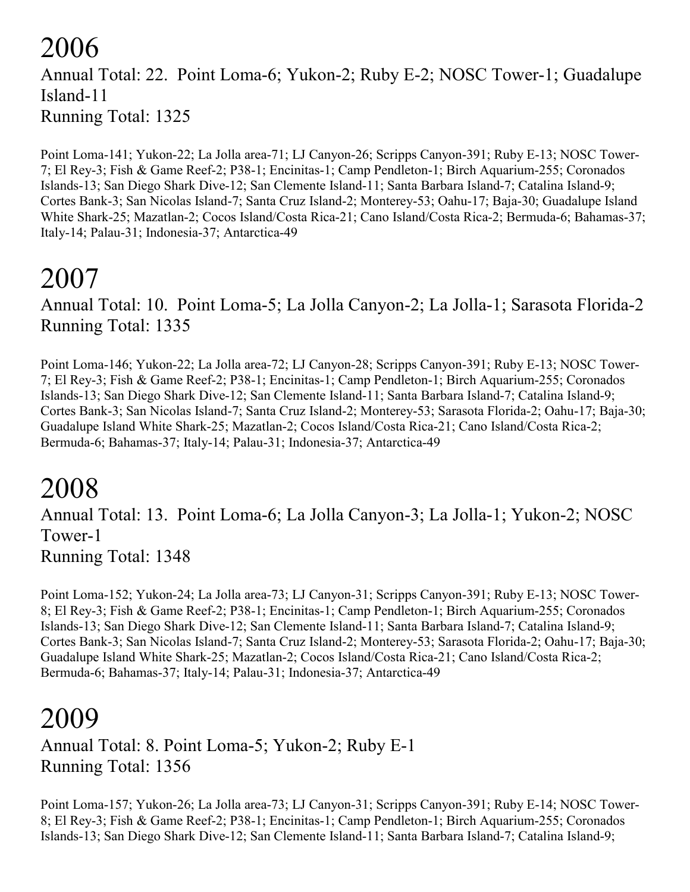#### 2006 Annual Total: 22. Point Loma-6; Yukon-2; Ruby E-2; NOSC Tower-1; Guadalupe Island-11 Running Total: 1325

Point Loma-141; Yukon-22; La Jolla area-71; LJ Canyon-26; Scripps Canyon-391; Ruby E-13; NOSC Tower-7; El Rey-3; Fish & Game Reef-2; P38-1; Encinitas-1; Camp Pendleton-1; Birch Aquarium-255; Coronados Islands-13; San Diego Shark Dive-12; San Clemente Island-11; Santa Barbara Island-7; Catalina Island-9; Cortes Bank-3; San Nicolas Island-7; Santa Cruz Island-2; Monterey-53; Oahu-17; Baja-30; Guadalupe Island White Shark-25; Mazatlan-2; Cocos Island/Costa Rica-21; Cano Island/Costa Rica-2; Bermuda-6; Bahamas-37; Italy-14; Palau-31; Indonesia-37; Antarctica-49

### 2007

Annual Total: 10. Point Loma-5; La Jolla Canyon-2; La Jolla-1; Sarasota Florida-2 Running Total: 1335

Point Loma-146; Yukon-22; La Jolla area-72; LJ Canyon-28; Scripps Canyon-391; Ruby E-13; NOSC Tower-7; El Rey-3; Fish & Game Reef-2; P38-1; Encinitas-1; Camp Pendleton-1; Birch Aquarium-255; Coronados Islands-13; San Diego Shark Dive-12; San Clemente Island-11; Santa Barbara Island-7; Catalina Island-9; Cortes Bank-3; San Nicolas Island-7; Santa Cruz Island-2; Monterey-53; Sarasota Florida-2; Oahu-17; Baja-30; Guadalupe Island White Shark-25; Mazatlan-2; Cocos Island/Costa Rica-21; Cano Island/Costa Rica-2; Bermuda-6; Bahamas-37; Italy-14; Palau-31; Indonesia-37; Antarctica-49

#### 2008

Annual Total: 13. Point Loma-6; La Jolla Canyon-3; La Jolla-1; Yukon-2; NOSC Tower-1 Running Total: 1348

Point Loma-152; Yukon-24; La Jolla area-73; LJ Canyon-31; Scripps Canyon-391; Ruby E-13; NOSC Tower-8; El Rey-3; Fish & Game Reef-2; P38-1; Encinitas-1; Camp Pendleton-1; Birch Aquarium-255; Coronados Islands-13; San Diego Shark Dive-12; San Clemente Island-11; Santa Barbara Island-7; Catalina Island-9; Cortes Bank-3; San Nicolas Island-7; Santa Cruz Island-2; Monterey-53; Sarasota Florida-2; Oahu-17; Baja-30; Guadalupe Island White Shark-25; Mazatlan-2; Cocos Island/Costa Rica-21; Cano Island/Costa Rica-2; Bermuda-6; Bahamas-37; Italy-14; Palau-31; Indonesia-37; Antarctica-49

#### 2009

Annual Total: 8. Point Loma-5; Yukon-2; Ruby E-1 Running Total: 1356

Point Loma-157; Yukon-26; La Jolla area-73; LJ Canyon-31; Scripps Canyon-391; Ruby E-14; NOSC Tower-8; El Rey-3; Fish & Game Reef-2; P38-1; Encinitas-1; Camp Pendleton-1; Birch Aquarium-255; Coronados Islands-13; San Diego Shark Dive-12; San Clemente Island-11; Santa Barbara Island-7; Catalina Island-9;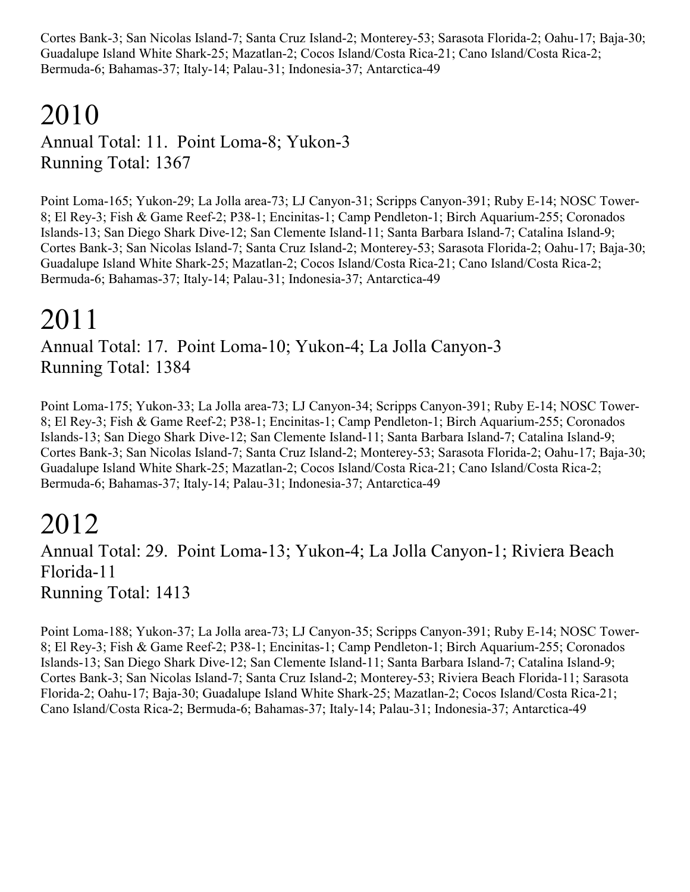Cortes Bank-3; San Nicolas Island-7; Santa Cruz Island-2; Monterey-53; Sarasota Florida-2; Oahu-17; Baja-30; Guadalupe Island White Shark-25; Mazatlan-2; Cocos Island/Costa Rica-21; Cano Island/Costa Rica-2; Bermuda-6; Bahamas-37; Italy-14; Palau-31; Indonesia-37; Antarctica-49

## 2010

Annual Total: 11. Point Loma-8; Yukon-3 Running Total: 1367

Point Loma-165; Yukon-29; La Jolla area-73; LJ Canyon-31; Scripps Canyon-391; Ruby E-14; NOSC Tower-8; El Rey-3; Fish & Game Reef-2; P38-1; Encinitas-1; Camp Pendleton-1; Birch Aquarium-255; Coronados Islands-13; San Diego Shark Dive-12; San Clemente Island-11; Santa Barbara Island-7; Catalina Island-9; Cortes Bank-3; San Nicolas Island-7; Santa Cruz Island-2; Monterey-53; Sarasota Florida-2; Oahu-17; Baja-30; Guadalupe Island White Shark-25; Mazatlan-2; Cocos Island/Costa Rica-21; Cano Island/Costa Rica-2; Bermuda-6; Bahamas-37; Italy-14; Palau-31; Indonesia-37; Antarctica-49

### 2011

Annual Total: 17. Point Loma-10; Yukon-4; La Jolla Canyon-3 Running Total: 1384

Point Loma-175; Yukon-33; La Jolla area-73; LJ Canyon-34; Scripps Canyon-391; Ruby E-14; NOSC Tower-8; El Rey-3; Fish & Game Reef-2; P38-1; Encinitas-1; Camp Pendleton-1; Birch Aquarium-255; Coronados Islands-13; San Diego Shark Dive-12; San Clemente Island-11; Santa Barbara Island-7; Catalina Island-9; Cortes Bank-3; San Nicolas Island-7; Santa Cruz Island-2; Monterey-53; Sarasota Florida-2; Oahu-17; Baja-30; Guadalupe Island White Shark-25; Mazatlan-2; Cocos Island/Costa Rica-21; Cano Island/Costa Rica-2; Bermuda-6; Bahamas-37; Italy-14; Palau-31; Indonesia-37; Antarctica-49

#### 2012

Annual Total: 29. Point Loma-13; Yukon-4; La Jolla Canyon-1; Riviera Beach Florida-11 Running Total: 1413

Point Loma-188; Yukon-37; La Jolla area-73; LJ Canyon-35; Scripps Canyon-391; Ruby E-14; NOSC Tower-8; El Rey-3; Fish & Game Reef-2; P38-1; Encinitas-1; Camp Pendleton-1; Birch Aquarium-255; Coronados Islands-13; San Diego Shark Dive-12; San Clemente Island-11; Santa Barbara Island-7; Catalina Island-9; Cortes Bank-3; San Nicolas Island-7; Santa Cruz Island-2; Monterey-53; Riviera Beach Florida-11; Sarasota Florida-2; Oahu-17; Baja-30; Guadalupe Island White Shark-25; Mazatlan-2; Cocos Island/Costa Rica-21; Cano Island/Costa Rica-2; Bermuda-6; Bahamas-37; Italy-14; Palau-31; Indonesia-37; Antarctica-49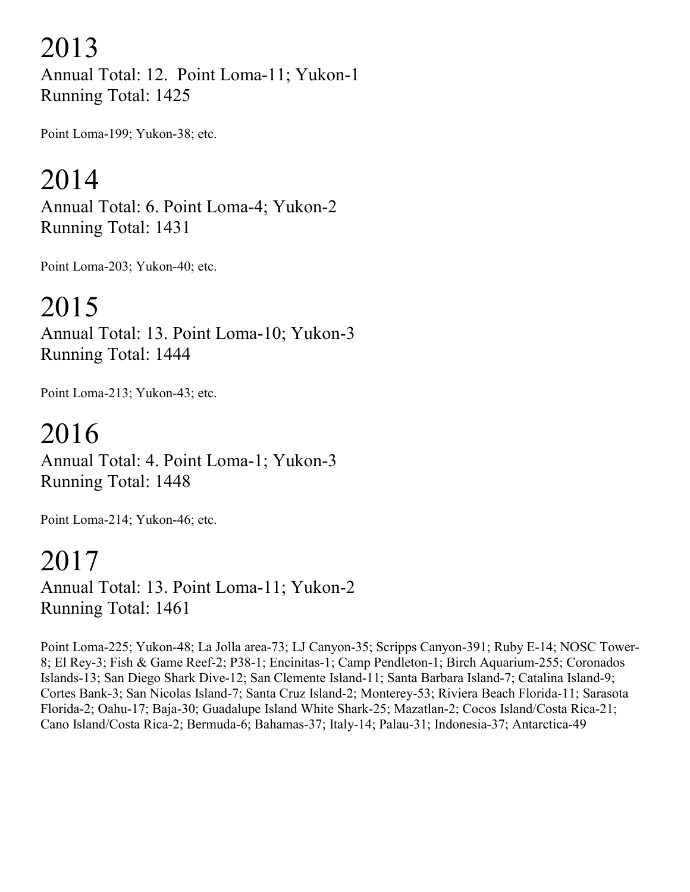2013

Annual Total: 12. Point Loma-11; Yukon-1 Running Total: 1425

Point Loma-199; Yukon-38; etc.

#### 2014

Annual Total: 6. Point Loma-4; Yukon-2 Running Total: 1431

Point Loma-203; Yukon-40; etc.

#### 2015

Annual Total: 13. Point Loma-10; Yukon-3 Running Total: 1444

Point Loma-213; Yukon-43; etc.

#### 2016 Annual Total: 4. Point Loma-1; Yukon-3 Running Total: 1448

Point Loma-214; Yukon-46; etc.

### 2017

Annual Total: 13. Point Loma-11; Yukon-2 Running Total: 1461

Point Loma-225; Yukon-48; La Jolla area-73; LJ Canyon-35; Scripps Canyon-391; Ruby E-14; NOSC Tower-8; El Rey-3; Fish & Game Reef-2; P38-1; Encinitas-1; Camp Pendleton-1; Birch Aquarium-255; Coronados Islands-13; San Diego Shark Dive-12; San Clemente Island-11; Santa Barbara Island-7; Catalina Island-9; Cortes Bank-3; San Nicolas Island-7; Santa Cruz Island-2; Monterey-53; Riviera Beach Florida-11; Sarasota Florida-2; Oahu-17; Baja-30; Guadalupe Island White Shark-25; Mazatlan-2; Cocos Island/Costa Rica-21; Cano Island/Costa Rica-2; Bermuda-6; Bahamas-37; Italy-14; Palau-31; Indonesia-37; Antarctica-49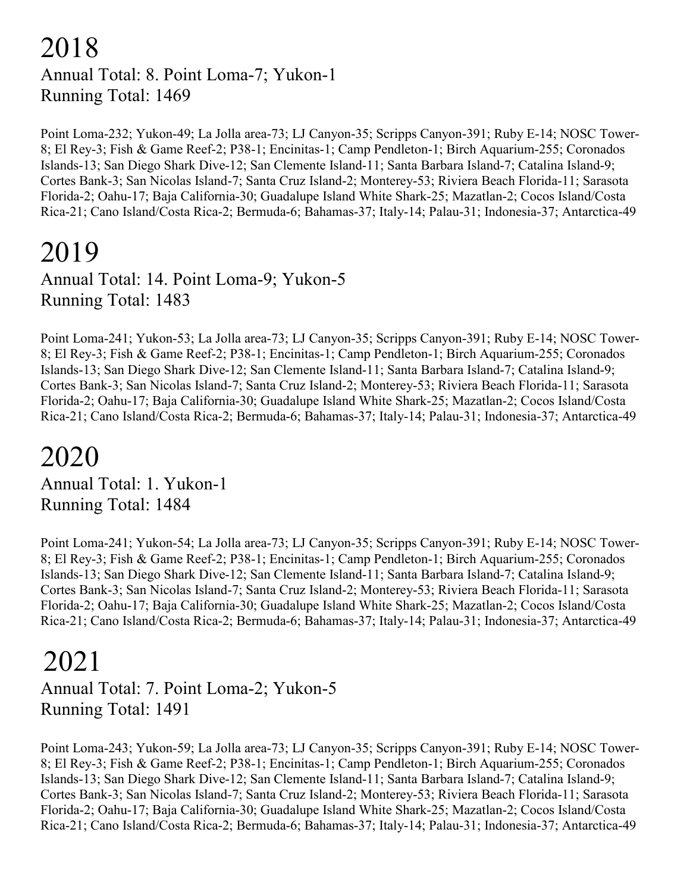#### 2018 Annual Total: 8. Point Loma-7; Yukon-1 Running Total: 1469

Point Loma-232; Yukon-49; La Jolla area-73; LJ Canyon-35; Scripps Canyon-391; Ruby E-14; NOSC Tower-8; El Rey-3; Fish & Game Reef-2; P38-1; Encinitas-1; Camp Pendleton-1; Birch Aquarium-255; Coronados Islands-13; San Diego Shark Dive-12; San Clemente Island-11; Santa Barbara Island-7; Catalina Island-9; Cortes Bank-3; San Nicolas Island-7; Santa Cruz Island-2; Monterey-53; Riviera Beach Florida-11; Sarasota Florida-2; Oahu-17; Baja California-30; Guadalupe Island White Shark-25; Mazatlan-2; Cocos Island/Costa Rica-21; Cano Island/Costa Rica-2; Bermuda-6; Bahamas-37; Italy-14; Palau-31; Indonesia-37; Antarctica-49

#### 2019

Annual Total: 14. Point Loma-9; Yukon-5 Running Total: 1483

Point Loma-241; Yukon-53; La Jolla area-73; LJ Canyon-35; Scripps Canyon-391; Ruby E-14; NOSC Tower-8; El Rey-3; Fish & Game Reef-2; P38-1; Encinitas-1; Camp Pendleton-1; Birch Aquarium-255; Coronados Islands-13; San Diego Shark Dive-12; San Clemente Island-11; Santa Barbara Island-7; Catalina Island-9; Cortes Bank-3; San Nicolas Island-7; Santa Cruz Island-2; Monterey-53; Riviera Beach Florida-11; Sarasota Florida-2; Oahu-17; Baja California-30; Guadalupe Island White Shark-25; Mazatlan-2; Cocos Island/Costa Rica-21; Cano Island/Costa Rica-2; Bermuda-6; Bahamas-37; Italy-14; Palau-31; Indonesia-37; Antarctica-49

#### 2020

Annual Total: 1. Yukon-1 Running Total: 1484

Point Loma-241; Yukon-54; La Jolla area-73; LJ Canyon-35; Scripps Canyon-391; Ruby E-14; NOSC Tower-8; El Rey-3; Fish & Game Reef-2; P38-1; Encinitas-1; Camp Pendleton-1; Birch Aquarium-255; Coronados Islands-13; San Diego Shark Dive-12; San Clemente Island-11; Santa Barbara Island-7; Catalina Island-9; Cortes Bank-3; San Nicolas Island-7; Santa Cruz Island-2; Monterey-53; Riviera Beach Florida-11; Sarasota Florida-2; Oahu-17; Baja California-30; Guadalupe Island White Shark-25; Mazatlan-2; Cocos Island/Costa Rica-21; Cano Island/Costa Rica-2; Bermuda-6; Bahamas-37; Italy-14; Palau-31; Indonesia-37; Antarctica-49

#### 2021

Annual Total: 7. Point Loma-2; Yukon-5 Running Total: 1491

Point Loma-243; Yukon-59; La Jolla area-73; LJ Canyon-35; Scripps Canyon-391; Ruby E-14; NOSC Tower-8; El Rey-3; Fish & Game Reef-2; P38-1; Encinitas-1; Camp Pendleton-1; Birch Aquarium-255; Coronados Islands-13; San Diego Shark Dive-12; San Clemente Island-11; Santa Barbara Island-7; Catalina Island-9; Cortes Bank-3; San Nicolas Island-7; Santa Cruz Island-2; Monterey-53; Riviera Beach Florida-11; Sarasota Florida-2; Oahu-17; Baja California-30; Guadalupe Island White Shark-25; Mazatlan-2; Cocos Island/Costa Rica-21; Cano Island/Costa Rica-2; Bermuda-6; Bahamas-37; Italy-14; Palau-31; Indonesia-37; Antarctica-49